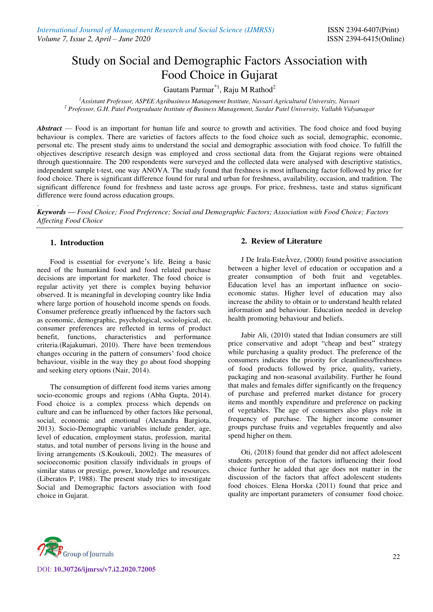# Study on Social and Demographic Factors Association with Food Choice in Gujarat

Gautam Parmar<sup>\*1</sup>, Raju M Rathod<sup>2</sup>

*<sup>1</sup>Assistant Professor, ASPEE Agribusiness Management Institute, Navsari Agricultural University, Navsari 2 Professor, G.H. Patel Postgraduate Institute of Business Management, Sardar Patel University, Vallabh Vidyanagar* 

*Abstract* — Food is an important for human life and source to growth and activities. The food choice and food buying behaviour is complex. There are varieties of factors affects to the food choice such as social, demographic, economic, personal etc. The present study aims to understand the social and demographic association with food choice. To fulfill the objectives descriptive research design was employed and cross sectional data from the Gujarat regions were obtained through questionnaire. The 200 respondents were surveyed and the collected data were analysed with descriptive statistics, independent sample t-test, one way ANOVA. The study found that freshness is most influencing factor followed by price for food choice. There is significant difference found for rural and urban for freshness, availability, occasion, and tradition. The significant difference found for freshness and taste across age groups. For price, freshness, taste and status significant difference were found across education groups.

*Keywords — Food Choice; Food Preference; Social and Demographic Factors; Association with Food Choice; Factors Affecting Food Choice* 

# **1. Introduction**

.

Food is essential for everyone's life. Being a basic need of the humankind food and food related purchase decisions are important for marketer. The food choice is regular activity yet there is complex buying behavior observed. It is meaningful in developing country like India where large portion of household income spends on foods. Consumer preference greatly influenced by the factors such as economic, demographic, psychological, sociological, etc. consumer preferences are reflected in terms of product benefit, functions, characteristics and performance criteria.(Rajakumari, 2010). There have been tremendous changes occuring in the pattern of consumers' food choice behaviour, visible in the way they go about food shopping and seeking etery options (Nair, 2014).

The consumption of different food items varies among socio-economic groups and regions (Abha Gupta, 2014). Food choice is a complex process which depends on culture and can be influenced by other factors like personal, social, economic and emotional (Alexandra Bargiota, 2013). Socio-Demographic variables include gender, age, level of education, employment status, profession, marital status, and total number of persons living in the house and living arrangements (S.Koukouli, 2002). The measures of socioeconomic position classify individuals in groups of similar status or prestige, power, knowledge and resources. (Liberatos P, 1988). The present study tries to investigate Social and Demographic factors association with food choice in Gujarat.

# **2. Review of Literature**

J De Irala-EsteÂvez, (2000) found positive association between a higher level of education or occupation and a greater consumption of both fruit and vegetables. Education level has an important influence on socioeconomic status. Higher level of education may also increase the ability to obtain or to understand health related information and behaviour. Education needed in develop health promoting behaviour and beliefs.

Jabir Ali, (2010) stated that Indian consumers are still price conservative and adopt "cheap and best" strategy while purchasing a quality product. The preference of the consumers indicates the priority for cleanliness/freshness of food products followed by price, quality, variety, packaging and non-seasonal availability. Further he found that males and females differ significantly on the frequency of purchase and preferred market distance for grocery items and monthly expenditure and preference on packing of vegetables. The age of consumers also plays role in frequency of purchase. The higher income consumer groups purchase fruits and vegetables frequently and also spend higher on them.

Oti, (2018) found that gender did not affect adolescent students perception of the factors influencing their food choice further he added that age does not matter in the discussion of the factors that affect adolescent students food choices. Elena Horska (2011) found that price and quality are important parameters of consumer food choice.

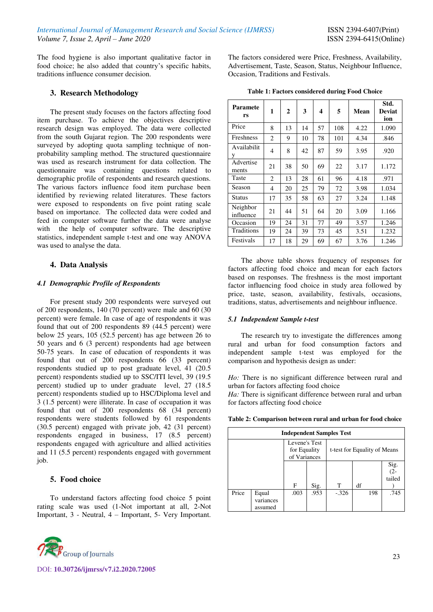The food hygiene is also important qualitative factor in food choice; he also added that country's specific habits, traditions influence consumer decision.

## **3. Research Methodology**

The present study focuses on the factors affecting food item purchase. To achieve the objectives descriptive research design was employed. The data were collected from the south Gujarat region. The 200 respondents were surveyed by adopting quota sampling technique of nonprobability sampling method. The structured questionnaire was used as research instrument for data collection. The questionnaire was containing questions related to demographic profile of respondents and research questions. The various factors influence food item purchase been identified by reviewing related literatures. These factors were exposed to respondents on five point rating scale based on importance. The collected data were coded and feed in computer software further the data were analyse with the help of computer software. The descriptive statistics, independent sample t-test and one way ANOVA was used to analyse the data.

## **4. Data Analysis**

#### *4.1 Demographic Profile of Respondents*

For present study 200 respondents were surveyed out of 200 respondents, 140 (70 percent) were male and 60 (30 percent) were female. In case of age of respondents it was found that out of 200 respondents 89 (44.5 percent) were below 25 years, 105 (52.5 percent) has age between 26 to 50 years and 6 (3 percent) respondents had age between 50-75 years. In case of education of respondents it was found that out of 200 respondents 66 (33 percent) respondents studied up to post graduate level, 41 (20.5 percent) respondents studied up to SSC/ITI level, 39 (19.5 percent) studied up to under graduate level, 27 (18.5 percent) respondents studied up to HSC/Diploma level and 3 (1.5 percent) were illiterate. In case of occupation it was found that out of 200 respondents 68 (34 percent) respondents were students followed by 61 respondents (30.5 percent) engaged with private job, 42 (31 percent) respondents engaged in business, 17 (8.5 percent) respondents engaged with agriculture and allied activities and 11 (5.5 percent) respondents engaged with government job.

# **5. Food choice**

To understand factors affecting food choice 5 point rating scale was used (1-Not important at all, 2-Not Important, 3 - Neutral, 4 – Important, 5- Very Important.



The factors considered were Price, Freshness, Availability, Advertisement, Taste, Season, Status, Neighbour Influence, Occasion, Traditions and Festivals.

|  |  | Table 1: Factors considered during Food Choice |  |  |  |
|--|--|------------------------------------------------|--|--|--|
|--|--|------------------------------------------------|--|--|--|

| <b>Paramete</b><br>rs | 1              | 2  | 3  | 4  | 5   | Mean | Std.<br><b>Deviat</b><br>ion |
|-----------------------|----------------|----|----|----|-----|------|------------------------------|
| Price                 | 8              | 13 | 14 | 57 | 108 | 4.22 | 1.090                        |
| <b>Freshness</b>      | $\overline{c}$ | 9  | 10 | 78 | 101 | 4.34 | .846                         |
| Availabilit<br>V      | 4              | 8  | 42 | 87 | 59  | 3.95 | .920                         |
| Advertise<br>ments    | 21             | 38 | 50 | 69 | 22  | 3.17 | 1.172                        |
| Taste                 | $\overline{c}$ | 13 | 28 | 61 | 96  | 4.18 | .971                         |
| Season                | 4              | 20 | 25 | 79 | 72  | 3.98 | 1.034                        |
| Status                | 17             | 35 | 58 | 63 | 27  | 3.24 | 1.148                        |
| Neighbor<br>influence | 21             | 44 | 51 | 64 | 20  | 3.09 | 1.166                        |
| Occasion              | 19             | 24 | 31 | 77 | 49  | 3.57 | 1.246                        |
| Traditions            | 19             | 24 | 39 | 73 | 45  | 3.51 | 1.232                        |
| Festivals             | 17             | 18 | 29 | 69 | 67  | 3.76 | 1.246                        |

The above table shows frequency of responses for factors affecting food choice and mean for each factors based on responses. The freshness is the most important factor influencing food choice in study area followed by price, taste, season, availability, festivals, occasions, traditions, status, advertisements and neighbour influence.

#### *5.1 Independent Sample t-test*

The research try to investigate the differences among rural and urban for food consumption factors and independent sample t-test was employed for the comparison and hypothesis design as under:

*Ho:* There is no significant difference between rural and urban for factors affecting food choice

*Ha:* There is significant difference between rural and urban for factors affecting food choice

| <b>Independent Samples Test</b> |                               |      |                                                                               |         |    |     |                         |  |
|---------------------------------|-------------------------------|------|-------------------------------------------------------------------------------|---------|----|-----|-------------------------|--|
|                                 |                               |      | Levene's Test<br>for Equality<br>t-test for Equality of Means<br>of Variances |         |    |     |                         |  |
|                                 |                               | F    | Sig.                                                                          | T       | df |     | Sig.<br>$(2-$<br>tailed |  |
| Price                           | Equal<br>variances<br>assumed | .003 | .953                                                                          | $-.326$ |    | 198 | .745                    |  |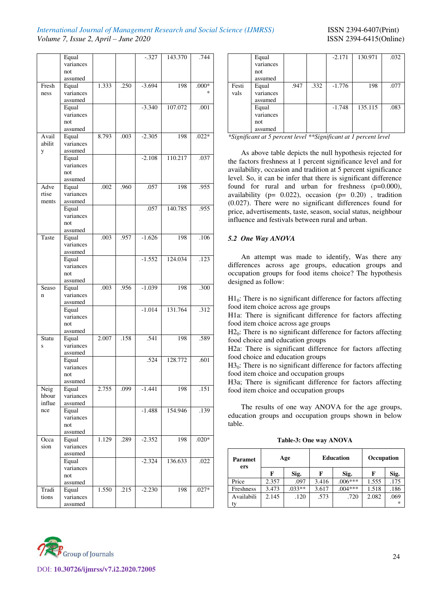#### **International Journal of Management Research and Social Science (IJMRSS)** Volume 7, Issue 2, April - June 2020

|        | Equal              |       |      | $-.327$  | 143.370 | .744    |
|--------|--------------------|-------|------|----------|---------|---------|
|        | variances          |       |      |          |         |         |
|        | not                |       |      |          |         |         |
|        | assumed            |       |      |          |         |         |
| Fresh  | Equal              | 1.333 | .250 | $-3.694$ | 198     | $.000*$ |
| ness   | variances          |       |      |          |         | $\ast$  |
|        | assumed            |       |      |          |         |         |
|        | Equal              |       |      | $-3.340$ | 107.072 | .001    |
|        | variances          |       |      |          |         |         |
|        | not                |       |      |          |         |         |
|        |                    |       |      |          |         |         |
| Avail  | assumed            |       | .003 |          |         |         |
|        | Equal              | 8.793 |      | $-2.305$ | 198     | $.022*$ |
| abilit | variances          |       |      |          |         |         |
| y      | assumed            |       |      |          |         |         |
|        | Equal              |       |      | $-2.108$ | 110.217 | .037    |
|        | variances          |       |      |          |         |         |
|        | not                |       |      |          |         |         |
|        | assumed            |       |      |          |         |         |
| Adve   | Equal              | .002  | .960 | .057     | 198     | .955    |
| rtise  | variances          |       |      |          |         |         |
| ments  | assumed            |       |      |          |         |         |
|        | Equal              |       |      | .057     | 140.785 | .955    |
|        | variances          |       |      |          |         |         |
|        | not                |       |      |          |         |         |
|        | assumed            |       |      |          |         |         |
| Taste  | Equal              | .003  | .957 | $-1.626$ | 198     | .106    |
|        | variances          |       |      |          |         |         |
|        | assumed            |       |      |          |         |         |
|        | Equal              |       |      | $-1.552$ | 124.034 | .123    |
|        | variances          |       |      |          |         |         |
|        |                    |       |      |          |         |         |
|        | not                |       |      |          |         |         |
|        | assumed            |       |      |          |         |         |
| Seaso  | Equal<br>variances | .003  | .956 | $-1.039$ | 198     | .300    |
| n      |                    |       |      |          |         |         |
|        | assumed            |       |      |          |         |         |
|        | Equal              |       |      | $-1.014$ | 131.764 | .312    |
|        | variances          |       |      |          |         |         |
|        | not                |       |      |          |         |         |
|        | assumed            |       |      |          |         |         |
| Statu  | Equal              | 2.007 | .158 | .541     | 198     | .589    |
| S      | variances          |       |      |          |         |         |
|        | assumed            |       |      |          |         |         |
|        | Equal              |       |      | .524     | 128.772 | .601    |
|        | variances          |       |      |          |         |         |
|        | not                |       |      |          |         |         |
|        | assumed            |       |      |          |         |         |
| Neig   | Equal              | 2.755 | .099 | $-1.441$ | 198     | .151    |
| hbour  | variances          |       |      |          |         |         |
| influe | assumed            |       |      |          |         |         |
| nce    | Equal              |       |      | $-1.488$ | 154.946 | .139    |
|        | variances          |       |      |          |         |         |
|        | not                |       |      |          |         |         |
|        | assumed            |       |      |          |         |         |
| Occa   | Equal              | 1.129 | .289 | $-2.352$ | 198     | $.020*$ |
| sion   | variances          |       |      |          |         |         |
|        | assumed            |       |      |          |         |         |
|        |                    |       |      |          |         |         |
|        | Equal              |       |      | $-2.324$ | 136.633 | .022    |
|        | variances          |       |      |          |         |         |
|        | not                |       |      |          |         |         |
|        | assumed            |       |      |          |         |         |
| Tradi  | Equal              | 1.550 | .215 | $-2.230$ | 198     | $.027*$ |
| tions  | variances          |       |      |          |         |         |
|        |                    |       |      |          |         |         |

|               | Equal<br>variances<br>not<br>assumed |      |      | $-2.171$ | 130.971 | .032 |
|---------------|--------------------------------------|------|------|----------|---------|------|
| Festi<br>vals | Equal<br>variances<br>assumed        | .947 | .332 | $-1.776$ | 198     | .077 |
|               | Equal<br>variances<br>not<br>assumed |      |      | $-1.748$ | 135.115 | .083 |

\*Significant at 5 percent level \*\*Significant at 1 percent level

As above table depicts the null hypothesis rejected for the factors freshness at 1 percent significance level and for availability, occasion and tradition at 5 percent significance level. So, it can be infer that there is significant difference found for rural and urban for freshness (p=0.000), availability (p=  $0.022$ ), occasion (p=  $0.20$ ), tradition  $(0.027)$ . There were no significant differences found for price, advertisements, taste, season, social status, neighbour influence and festivals between rural and urban.

#### 5.2 One Way ANOVA

An attempt was made to identify, Was there any differences across age groups, education groups and occupation groups for food items choice? The hypothesis designed as follow:

 $H1_0$ : There is no significant difference for factors affecting food item choice across age groups

H1a: There is significant difference for factors affecting food item choice across age groups

 $H2<sub>0</sub>$ : There is no significant difference for factors affecting food choice and education groups

H2a: There is significant difference for factors affecting food choice and education groups

 $H3<sub>0</sub>$ : There is no significant difference for factors affecting food item choice and occupation groups

H3a; There is significant difference for factors affecting food item choice and occupation groups

The results of one way ANOVA for the age groups, education groups and occupation groups shown in below table.

| <b>Table-3: One way ANOVA</b> |  |  |  |  |
|-------------------------------|--|--|--|--|
|-------------------------------|--|--|--|--|

| <b>Paramet</b><br>ers | Age   |          |       | <b>Education</b> | <b>Occupation</b> |        |
|-----------------------|-------|----------|-------|------------------|-------------------|--------|
|                       | F     | Sig.     | F     | Sig.             | F                 | Sig.   |
| Price                 | 2.357 | .097     | 3.416 | $.006***$        | 1.555             | .175   |
| Freshness             | 3.473 | $.033**$ | 3.617 | $.004***$        | 1.518             | .186   |
| Availabili            | 2.145 | .120     | .573  | .720             | 2.082             | .069   |
| tv                    |       |          |       |                  |                   | $\ast$ |